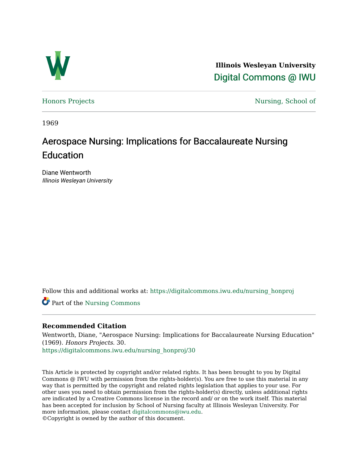

**Illinois Wesleyan University**  [Digital Commons @ IWU](https://digitalcommons.iwu.edu/) 

[Honors Projects](https://digitalcommons.iwu.edu/nursing_honproj) Nursing, School of

1969

# Aerospace Nursing: Implications for Baccalaureate Nursing Education

Diane Wentworth Illinois Wesleyan University

Follow this and additional works at: [https://digitalcommons.iwu.edu/nursing\\_honproj](https://digitalcommons.iwu.edu/nursing_honproj?utm_source=digitalcommons.iwu.edu%2Fnursing_honproj%2F30&utm_medium=PDF&utm_campaign=PDFCoverPages) 

Part of the [Nursing Commons](http://network.bepress.com/hgg/discipline/718?utm_source=digitalcommons.iwu.edu%2Fnursing_honproj%2F30&utm_medium=PDF&utm_campaign=PDFCoverPages) 

# **Recommended Citation**

Wentworth, Diane, "Aerospace Nursing: Implications for Baccalaureate Nursing Education" (1969). Honors Projects. 30.

[https://digitalcommons.iwu.edu/nursing\\_honproj/30](https://digitalcommons.iwu.edu/nursing_honproj/30?utm_source=digitalcommons.iwu.edu%2Fnursing_honproj%2F30&utm_medium=PDF&utm_campaign=PDFCoverPages)

This Article is protected by copyright and/or related rights. It has been brought to you by Digital Commons @ IWU with permission from the rights-holder(s). You are free to use this material in any way that is permitted by the copyright and related rights legislation that applies to your use. For other uses you need to obtain permission from the rights-holder(s) directly, unless additional rights are indicated by a Creative Commons license in the record and/ or on the work itself. This material has been accepted for inclusion by School of Nursing faculty at Illinois Wesleyan University. For more information, please contact [digitalcommons@iwu.edu](mailto:digitalcommons@iwu.edu). ©Copyright is owned by the author of this document.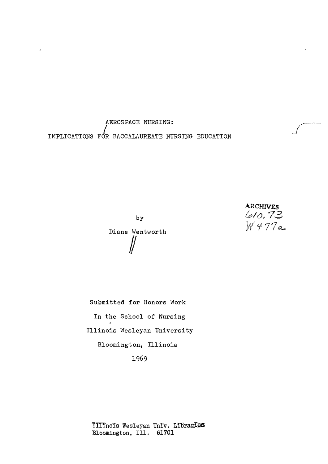AEROSPACE NURSING: IMPLICATIONS I FOR BACCALAUREATE NURSING EDUCATION

> ARCHIVES<br>610.73 'f77�

by Diane Wentworth  $\int\int$ 

Submitted for Honors Work In the School of Nursing Illinois Wesleyan University Bloomington, Illinois 1969

TIIInoIs Wesleyan Univ. LIbraries Bloomington, Ill. 61701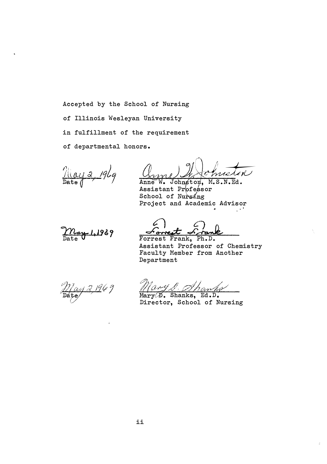Accepted by the School of Nursing of Illinois Wesleyan University in fulfillment of the requirement of departmental honors •

 $\frac{\pi}{\pi}$ <br>Date  $\frac{\pi}{\pi}$ \_196g

miston Anne W. Johnston, M.S.N.Ed.

Assistant Professor School of Nursing Project and Academic Advisor



<u>Forrest</u> <u>Firand</u><br>Forrest Frank, Ph.D.

Assistant Professor of Chemistry Faculty Member from Another Department

 $\mathbb{R}^2$ 

21969

Mary <u>S. Ahanks</u>

Director, School of Nursing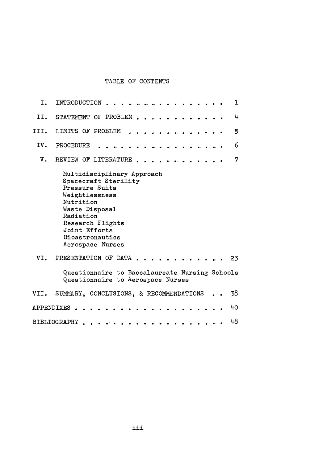# TABLE OF CONTENTS

| I.   | INTRODUCTION<br>ı                                                                                                                                                                                                     |
|------|-----------------------------------------------------------------------------------------------------------------------------------------------------------------------------------------------------------------------|
| II.  | 4<br>STATEMENT OF PROBLEM                                                                                                                                                                                             |
| III. | LIMITS OF PROBLEM<br>5                                                                                                                                                                                                |
| IV.  | 6<br>PROCEDURE                                                                                                                                                                                                        |
| V.   | $\overline{7}$<br>REVIEW OF LITERATURE                                                                                                                                                                                |
|      | Multidisciplinary Approach<br>Spacecraft Sterility<br>Pressure Suits<br>Weightlessness<br>Nutrition<br>Waste Disposal<br>Radiation<br>Research Flights<br>Joint Efforts<br><b>Bioastronautics</b><br>Aerospace Nurses |
| VI.  | PRESENTATION OF DATA<br>23                                                                                                                                                                                            |
|      | Questionnaire to Baccalaureate Nursing Schools<br>Questionnaire to Aerospace Nurses                                                                                                                                   |
|      | VII. SUMMARY, CONCLUSIONS, & RECOMMENDATIONS<br>38                                                                                                                                                                    |
|      | 40<br>APPENDIXES                                                                                                                                                                                                      |
|      | 48<br>BIBLIOGRAPHY                                                                                                                                                                                                    |

 $\dot{\gamma}$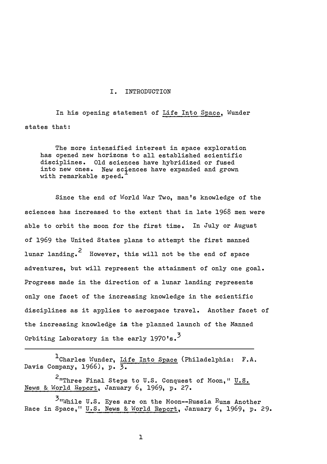#### I. INTRODUCTION

In his opening statement of Life Into Space, Wunder states that:

The more intensified interest in space exploration has opened new horizons to all established scientific disciplines. Old sciences have hybridized or fused into new ones. New sCiences have expanded and grown with remarkable speed.

Since the end of World War Two, man's knowledge of the sciences has increased to the extent that in late 1968 men were able to orbit the moon for the first time. In July or August of 1969 the United States plans to attempt the first manned lunar landing. $\mathrm{{}^2}$  However, this will not be the end of space adventures, but will represent the attainment of only one goal. Progress made in the direction of a lunar landing represents only one facet of the increasing knowledge in the scientific disciplines as it applies to aerospace travel. Another facet of the increasing knowledge is the planned launch of the Manned Orbiting Laboratory in the early  $1970$ 's.<sup>3</sup>

<sup>1</sup>Charles Wunder, Life Into Space (Philadelphia: F.A. Davis Company, 1966), p.  $\overline{3}$ .

<sup>2</sup>"Three Final Steps to U.S. Conquest of Moon," U.S. News & World Report, January 6, 1969, p. 27.

 $\mathcal{F}_{\text{twhile U.S.}}$  Eyes are on the Moon--Russia Runs Another Race in Space," U.S. News & World Report, January 6, 1969, p. 29.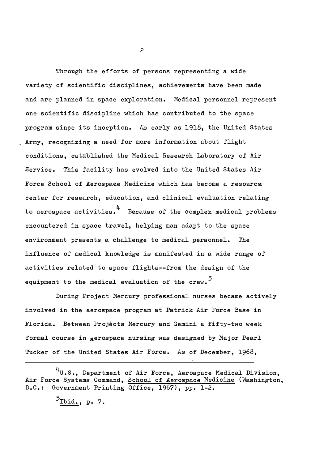Through the efforts of persons representing a wide variety of scientific disciplines, achievements have been made and are planned in space exploration. Medical personnel represent one scientific discipline which has contributed to the space program since its inception. As early as 1918, the United States Army, recognizing a need for more information about flight conditions, established the Medical Research Laboratory of Air Service. This facility has evolved into the United States Air Force School of Aerospace Medicine which has become a resource: center for research, education, and clinical evaluation relating to aerospace activities.4 Because of the complex medical problems encountered in space travel, helping man adapt to the space environment presents a challenge to medical personnel. The influence of medical knowledge is manifested in a wide range of activities related to space flights--from the design of the equipment to the medical evaluation of the crew.<sup>5</sup>

During Project Mercury professional nurses became actively involved in the aerospace program at Patrick Air Force Base in Florida. Between Projects Mercury and Gemini a fifty-two week formal course in aerospace nursing was designed by Major Pearl Tucker of the United States Air Force. As of December, 1968,

4 U•S., Department of Air Force, Aerospace Medical DiVision, Air Force Systems Command, School of Aerospace Medicine (Washington, D.C.: Government Printing Office, 1967), pp. 1-2 .

5<br><u>Ibid.</u>, p. 7.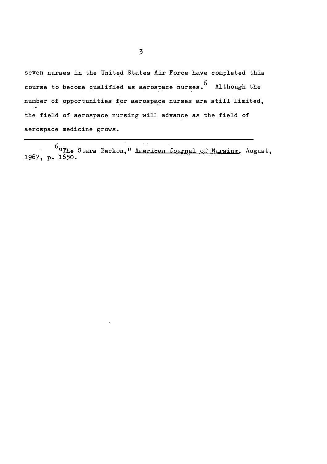seven nurses in the United States Air Force have completed this course to become qualified as aerospace nurses.  $^6$  Although the number of opportunities for aerospace nurses are still limited, the field of aerospace nursing will advance as the field of aerospace medicine grows.

 $6$  "The Stars Beckon," American Journal of Nursing, August, 1967, p. 1650.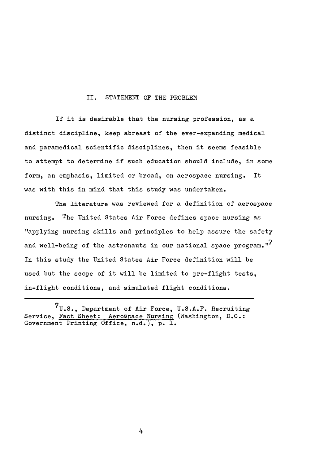#### II. STATEMENT OF THE PROBLEM

If it is desirable that the nursing profession, as a distinct discipline, keep abreast of the ever-expanding medical and paramedical scientific disciplines, then it seems feasible to attempt to determine if such education should include, in some form, an emphasis, limited or broad, on aerospace nursing. It was with this in mind that this study was undertaken.

The literature was reviewed for a definition of aerospace nursing. The United States Air Force defines space nursing as "applying nursing skills and principles to help assure the safety and well-being of the astronauts in our national space program."<sup>7</sup> In this study the United States Air Force definition will be used but the scope of it will be limited to pre-flight tests, in-flight conditions, and simulated flight conditions.

 $7_{\text{U.S.}}$ , Department of Air Force, U.S.A.F. Recruiting Service, Fact Sheet: Aerospace Nursing (Washington, D.C.: Government Printing Office, n.d.), p. 1.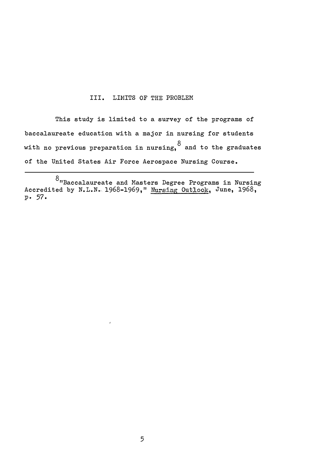# III. LIMITS OF THE PROBLEM

This study is limited to a survey of the programs of baccalaureate education with a major in nursing for students with no previous preparation in nursing,  $8$  and to the graduates of the United States Air Force Aerospace Nursing Course.

<sup>8&</sup>lt;br>"Baccalaureate and Masters Degree Programs in Nursing Accredited by N.L.N. 1968-1969," Nursing Outlook, June, 1968, p. 57 .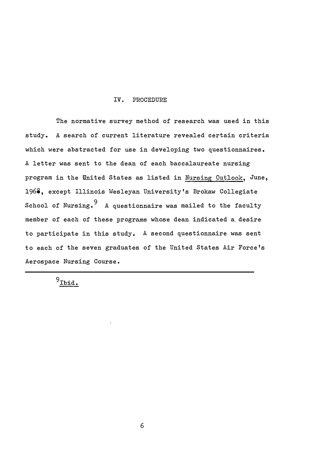## IV. PROCEDURE

The normative survey method of research was used in this study. A search of current literature revealed certain criteria which were abstracted for use in developing two questionnaires. A letter was sent to the dean of each baccalaureate nursing program in the United States as listed in Nursing Outlook, June, 1968, except Illinois Wesleyan University's Brokaw Collegiate School of Nursing.  $9\,$  A questionnaire was mailed to the faculty member of each of these programs whose dean indicated a desire to participate in this study. A second questionnaire was sent to each of the seven graduates of the United States Air Force's Aerospace Nursing Course.

 $9$ Ibid.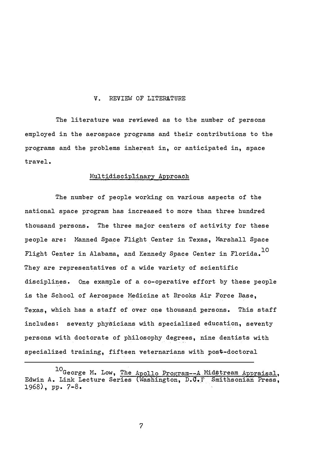## V. REVIEW OF LITERATURE

The literature was reviewed as to the number of persons employed in the aerospace programs and their contributions to the programs and the problems inherent in, or anticipated in, space travel.

# Multidisciplinary Approach

The number of people working on various aspects of the national space program has increased to more than three hundred thousand persons. The three major centers of activity for these people are: Manned Space Flight Center in Texas, Marshall Space Flight Center in Alabama, and Kennedy Space Center in Florida. $^{10}$ They are representatives of a wide variety of scientific disciplines. One example of a co-operative effort by these people is the School of Aerospace Medicine at Brooks Air Force Base, Texas, which has a staff of over one thousand persons. This staff includes: seventy physicians with specialized education, seventy persons with doctorate of philosophy degrees, nine dentists with specialized training, fifteen veternarians with post-doctoral

<sup>10</sup>George M. Low, The Apollo Program--A Midstream Appraisal, Edwin A. Link Lecture Series (Washington, D.C.? Smithsonian Press, 1968)., pp. 7-8 .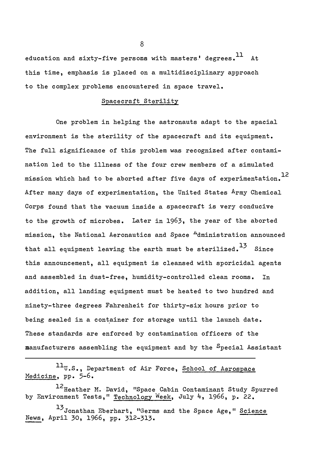education and sixty-five persons with masters, degrees.  $11$  At this time, emphasis is placed on a multidisciplinary approach to the complex problems encountered in space travel.

# Spacecraft Sterility

One problem in helping the astronauts adapt to the spacial environment is the sterility of the spacecraft and its equipment. The full significance of this problem was recognized after contamination led to the illness of the four crew members of a simulated mission which had to be aborted after five days of experimentation. $^{12}$ After many days of experimentation, the United States Army Chemical Corps found that the vacuum inside a spacecraft is very conducive to the growth of microbes. Later in 1963, the year of the aborted mission, the National Aeronautics and Space <sup>A</sup>dministration announced that all equipment leaving the earth must be sterilized.<sup>13</sup> Since this announcement, all equipment is cleansed with sporicidal agents and assembled in dust-free, humidity-controlled clean rooms. In addition, all landing equipment must be heated to two hundred and ninety-three degrees Fahrenheit for thirty-six hours prior to being sealed in a container for storage until the launch date. These standards are enforced by contamination officers of the manufacturers assembling the equipment and by the Special Assistant

11U.S., Department of Air Force, School of Aerospace Medicine, pp. 5-6.

1<sup>2</sup>Heather M. David, "Space Cabin Contaminant Study Spurred by Environment Tests," Technology Week, July 4, 1966, p. 22.

13 Jonathan Eberhart, "Germs and the Space Age," Science News, April 30, 1966, pp. 312-313.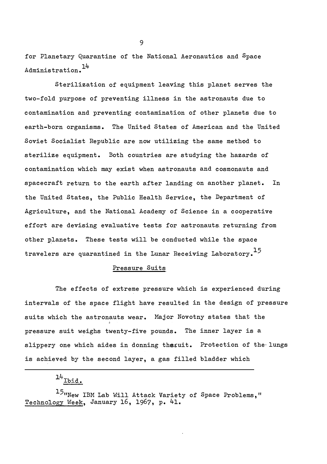for Planetary Quarantine of the National Aeronautics and Space Administration.<sup>14</sup>

Sterilization of equipment leaving this planet serves the two-fold purpose of preventing illness in the astronauts due to contamination and preventing contamination of other planets due to earth-born organisms. The United States of American and the United Soviet Socialist Republic are now utilizing the same method to sterilize equipment. Both countries are studying the hazards of contamination which may exist when astronauts and cosmonauts and spacecraft return to the earth after landing on another planet. In the United States, the Public Health Service, the Department of Agriculture, and the National Academy of Science in a cooperative effort are devising evaluative tests for astronauts returning from other planets. These tests will be conducted while the space travelers are quarantined in the Lunar Receiving Laboratory.<sup>15</sup>

# Pressure Suits

The effects of extreme pressure which is experienced during intervals of the space flight have resulted in the design of pressure suits which the astronauts wear. Major Novotny states that the pressure suit weighs twenty-five pounds. The inner layer is a slippery one which aides in donning thssuit. Protection of the lungs is achieved by the second layer, a gas filled bladder which

 $14$  Ibid.

 $15$ "New IBM Lab Will Attack Variety of Space Problems," Technology Week, January 16, 1967, p. 41.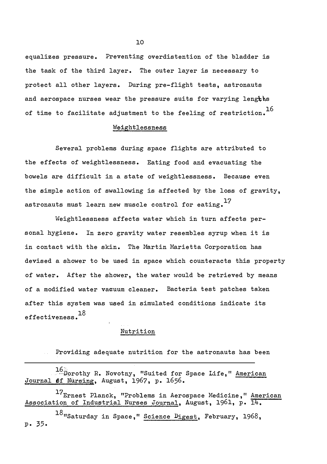equalizes pressure. Preventing overdistention of the bladder is the task of the third layer. The outer layer is necessary to protect all other layers. During pre-flight tests, astronauts and aerospace nurses wear the pressure suits for varying lengths of time to facilitate adjustment to the feeling of restriction.  $^{16}$ 

# Weightlessness

Several problems during space flights are attributed to the effects of weightlessness. Eating food and evacuating the bowels are difficult in a state of weightlessness. Because even the simple action of swallowing is affected by the loss of gravity, astronauts must learn new muscle control for eating. $^{17}$ 

Weightlessness affects water which in turn affects personal hygiene. In zero gravity water resembles syrup when it is in contact with the skin. The Martin Marietta Corporation has devised a shower to be used in space which counteracts this property of water. After the shower, the water would be retrieved by means of a modified water vacuum cleaner. Bacteria test patches taken after this system was used in simulated conditions indicate its effectiveness. $^{18}$ 

## Nutrition

Providing adequate nutrition for the astronauts has been  $\Delta\Delta\phi$ 

16 Dorothy R. Novotny, "Suited for Space Life," American Journal **6**f Nursing, August, 1967, p. 1656.

17<sub>Ernest</sub> Planck, "Problems in Aerospace Medicine," American Association of Industrial Nurses Journal, August, 1961, p. 14.

18"Saturday in Space," Science Digest, February, 1968, p. 35 .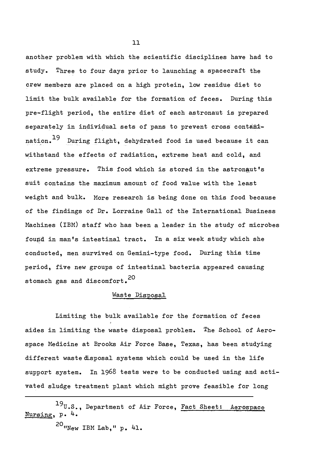another problem with which the scientific disciplines have had to study. Three to four days prior to launching a spacecraft the crew members are placed on a high protein, low residue diet to limit the bulk available for the formation of feces. During this pre-flight period, the entire diet of each astronaut is prepared separately in individual sets of pans to prevent cross contamination.  $^{19}$  During flight, dehydrated food is used because it can withstand the effects of radiation, extreme heat and cold, and extreme pressure. This food which is stored in the astronaut's suit contains the maximum amount of food value with the least weight and bulk. More research is being done on this food because of the findings of Dr. Lorraine Gall of the International Business Machines (IBM) staff who has been a leader in the study of microbes found in man's intestinal tract. In a six week study which she conducted, men survived on Gemini-type food. During this time period, five new groups of intestinal bacteria appeared causing stomach gas and discomfort.<sup>20</sup>

# Waste Disposal

Limiting the bulk available for the formation of feces aides in limiting the waste disposal problem. The School of Aerospace Medicine at Brooks Air Force Base, Texas, has been studying different waste disposal systems which could be used in the life support system. In 1968 tests were to be conducted using and activated sludge treatment plant which might prove feasible for long

19U.S., Department of Air Force, Fact Sheet: Aerospace Nursing, p. 4.

 $^{20}$ "New IBM Lab," p. 41.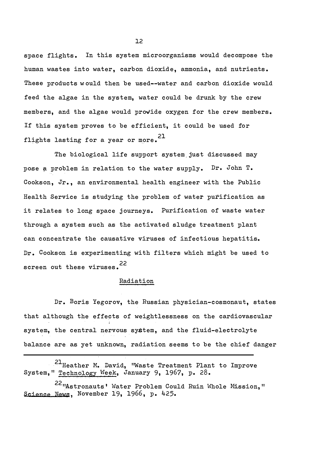space flights. In this system microorganisms would decompose the human wastes into water, carbon dioxide, ammonia, and nutrients. These products w ould then be used--water and carbon dioxide would feed the algae in the system, water could be drunk by the crew members, and the algae would provide oxygen for the crew members. If this system proves to be efficient, it could be used for flights lasting for a year or more.  $21$ 

The biological life support system just discussed may pose a problem in relation to the water supply. Dr. John T. Cookson, Jr., an environmental health engineer with the Public Health Service is studying the problem of water purification as it relates to long space journeys. Purification of waste water through a system such as the activated sludge treatment plant can concentrate the causative viruses of infectious hepatitis. Dr. Cookson is experimenting with filters which might be used to screen out these viruses. 22

#### Radiation

Dr. Boris Yegorov, the Russian physician-cosmonaut, states that although the effects of weightlessness on the cardiovascular system, the central nervous system, and the fluid-electrolyte balance are as yet unknown, radiation seems to be the chief danger

21 Heather M. David, "Waste Treatment Plant to Improve System," Technology Week, January 9, 1967, p. 28.

22 "Astronauts' Water Problem Could Ruin Whole Mission," Science News, November 19, 1966, p. 425.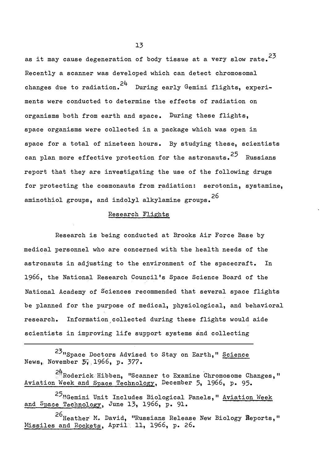as it may cause degeneration of body tissue at a very slow rate. $^{23}$ Recently a scanner was developed which can detect chromosomal changes due to radiation.  $24$  During early Gemini flights, experiments were conducted to determine the effects of radiation on organisms both from earth and space. During these flights, space organisms were collected in a package which was open in space for a total of nineteen hours. By studying these, scientists can plan more effective protection for the astronauts.<sup>25</sup> Russians report that they are investigating the use of the following drugs for protecting the cosmonauts from radiation: serotonin, systamine, aminothiol groups, and indolyl alkylamine groups.<sup>26</sup>

# Research Flights

Research is being conducted at Brooks Air Force Base by medical personnel who are concerned with the health needs of the astronauts in adjusting to the environment of the spacecraft. In 1966, the National Research Council 's Space Science Board of the National Academy of Sciences recommended that several space flights be planned for the purpose of medical, physiological, and behavioral research. Information,collected during these flights would aide scientists in improving life support systems and collecting

<sup>23</sup>"Space Doctors Advised to Stay on Earth," Science News, November 5, 1966, p. 377.

24<br>*A*Roderick Hibben, "Scanner to Examine Chromosome Changes," Aviation Week and Space Technology, December 5, 1966, p. 95.

25<sub>UGemini</sub> Unit Includes Biological Panels, " Aviation Week and Space Technology, June 13, 1966, p. 91.

26<br>Heather M. David, "Russians Release New Biology Reports," Missiles and Rockets, April 11, 1966, p. 26.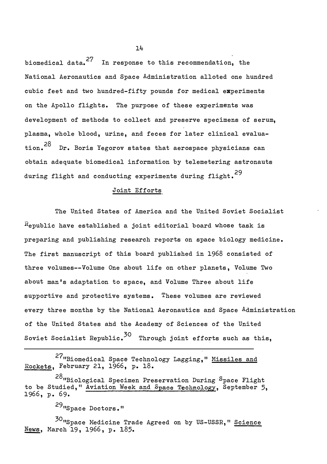biomedical data.<sup>27</sup> In response to this recommendation, the National Aeronautics and Space Administration alloted one hundred cubic feet and two hundred-fifty pounds for medical experiments on the Apollo flights. The purpose of these experiments was development of methods to collect and preserve specimens of serum, plasma, whole blood, urine, and feces for later clinical evaluation.<sup>28</sup> Dr. Boris Yegorov states that aerospace physicians can obtain adequate biomedical information by telemetering astronauts during flight and conducting experiments during flight.<sup>29</sup>

## Joint Efforts

The United States of America and the United Soviet Socialist  $R$ epublic have established a joint editorial board whose task is preparing and publishing research reports on space biology medicine. The first manuscript of this board published in 1968 consisted of three volumes--Volume One about life on other planets, Volume Two about man 's adaptation to space, and Volume Three about life supportive and protective systems. These volumes are reviewed every three months by the National Aeronautics and Space Administration of the United States ahd the Academy of Sciences of the United Soviet Socialist Republic. $^{30}$  Through joint efforts such as this,

27"Biomedical Space Technology Lagging," Missiles and Rockets, February 21, 1966, p. 18 .

28<sub>"Biological Specimen Preservation During Space Flight</sub> to be Studied," Aviation Week and Space Technology, September 5, 1966, p. 69.

29"Space Doctors."

<sup>30</sup>"Space Medicine Trade Agreed on by US-USSR," Science News, March 19, 1966, p. 185.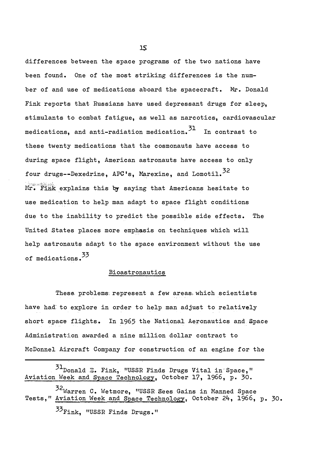differences between the space programs of the two nations have been found. One of the most striking differences is the number of and use of medications aboard the spacecraft. Mr. Donald Fink reports that Russians have used depressant drugs for sleep, stimulants to combat fatigue, as well as narcotics, cardiovascular medications, and anti-radiation medication. 31 In contrast to these twenty medications that the cosmonauts have access to during space flight, American astronauts have access to only four drugs--Dexedrine, APC's, Marexine, and Lomotil.<sup>32</sup> Mr. Fink explains this by saying that Americans hesitate to use medication to help man adapt to space flight conditions due to the inability to predict the possible side effects. The United states places more emphasis on techniques which will help astronauts adapt to the space environment without the use of medications.<sup>33</sup>

# Bioastronautics

These problems represent a few areas which scientists have had to explore in order to help man adjust to relatively short space flights. In 1965 the National Aeronautics and Space Administration awarded a nine million dollar contract to McDonnel Aircraft Company for construction of an engine for the

31Donald E. Fink, "USSR Finds Drugs Vital in Space," Aviation Week and Space Technology, October 17, 1966, p. 30. 32Warren C. Wetmore, "USSR Sees Gains in Manned Space Tests," Aviation Week and Space Technology, October 24, 1966, p. 30. <sup>33</sup>Fink, "USSR Finds Drugs."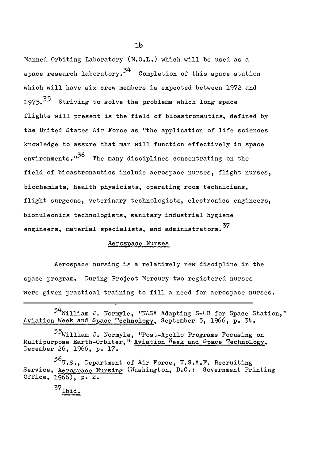Manned Orbiting Laboratory (M.O.L.) which will be used as a space research laboratory. $3^4$  Completion of this space station which will have six crew members is expected between 1972 and 1975.<sup>35</sup> Striving to solve the problems which long space flights will present is the field of bioastronautics, defined by the United States Air Force as "the application of life sciences knowledge to assure that man will function effectively in space environments."<sup>36</sup> The many disciplines concentrating on the field of bioastronautics include aerospace nurses, flight nurses, biochemists, health physicists, operating room technicians, flight surgeons, veterinary technologists, electronics engineers, bionuleonics technologists, sanitary industrial hygiene engineers, material specialists, and administrators.<sup>37</sup>

# Aerospace Nurses

Aerospace nursing is a relatively new discipline in the space program. During Project Mercury two registered nurses were given practical training to fill a need for aerospace nurses.

<sup>34</sup> William J. Normyle, "NASA Adapting S-4B for Space Station," Aviation Week and Space Technology, September 5, 1966, p. 34.

<sup>35</sup>William J. Normyle, "Post-Apollo Programs Focusing on Multipurpose Earth-Orbiter, " Aviation Week and Space Technology, December 26, 1966, p. 17.

 $36$ U.S., Department of Air Force, U.S.A.F. Recruiting Service, Aerospace Nursing (Washington, D.C.: Government Printing Office, 1966), p. 2.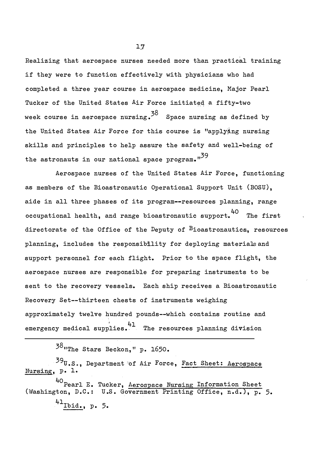Realizing that aerospace nurses needed more than practical training if they were to function effectively with physicians who had completed a three year course in aerospace medicine, Major Pearl Tucker of the United States Air Force initiated a fifty-two week course in aerospace nursing. $^{38}$  Space nursing as defined by the United States Air Force for this course is "applyÄng nursing skills and principles to help assure the safety and well-being of the astronauts in our national space program. $n^{39}$ 

Aerospace nurses of the United States Air Force, functioning as members of the Bioastronautic Operational Support Unit (BOSU), aide in all three phases of its program--resources planning, range 40 occupational health, and range bioastronautic support. The first directorate of the Office of the Deputy of  $B$ ioastronautics, resources planning, includes the responsibility for deploying materials and support personnel for each flight. Prior to the space flight, the aerospace nurses are responsible for preparing instruments to be sent to the recovery vessels. Each ship receives a Bioastronautic Recovery Set--thirteen chests of instruments weighing approximately twelve hundred pounds--which contains routine and emergency medical supplies. <sup>41</sup> The resources planning division

38<sub>"The</sub> Stars Beckon," p. 1650.

 $390.$ S., Department of Air Force, Fact Sheet: Aerospace Nursing, p. 1-

40 Pearl E. Tucker, Aerospace Nursing Information Sheet (Washington, D.C.: U.S. Government Printing Office, n.d.), p. 5. 41<sub>Ibid.</sub>, p. 5.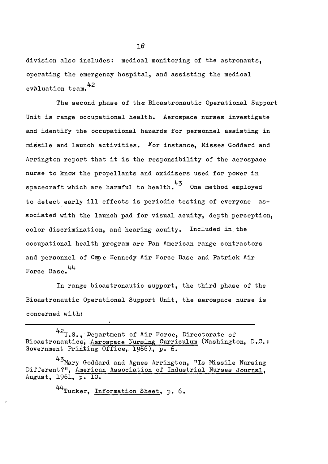division also includes: medical monitoring of the astronauts, operating the emergency hospital, and assisting the medical evaluation team.<sup>42</sup>

The second phase of the Bioastronautic Operational Support Unit is range occupational health. Aerospace nurses investigate and identify the occupational hazards for personnel assisting in missile and launch activities. For instance, Misses Goddard and Arrington report that it is the responsibility of the aerospace nurse to know the propellants and oxidizers used for power in spacecraft which are harmful to health.<sup>43</sup> One method employed to detect early ill effects is periodic testing of everyone associated with the launch pad for visual acuity, depth perception, color discrimination, and hearing acuity. Included in. the occupational health program are Pan American range contractors and personnel of Cape Kennedy Air Force Base and Patrick Air 44 Force Base.

In range bioastronautic support, the third phase of the Bioastronautic Operational Support Unit, the aerospace nurse is concerned with:

44<sub>Tucker, Information Sheet, p. 6.</sub>

<sup>42</sup>U.S., Department of Air Force, Directorate of Bioastronautics, Aerospace Nursing Curriculum (Washington, D.C.: Government Printing Office, 1966), p. 6.

<sup>43</sup> Mary Goddard and Agnes Arrington, "Is Missile Nursing Different?", American Association of Industrial Nurses Journal, August, 1961, p. 10.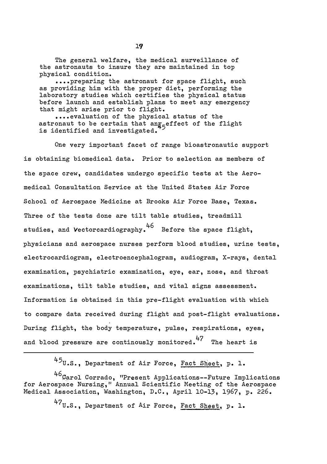The general welfare, the medical surveillance of the astronauts to insure they are maintained in top physical condition.

•••• preparing the astronaut for space flight, such as providing him with the proper diet, performing the laboratory studies which certifies the physical status before launch and establish plans to meet any emergency that might arise prior to flight.

• • •• evaluation of the physical status of the astronaut to be certain that an $\frac{1}{2}$  perfect of the flight is identified and investigated.

One very important facet of range bioastronautic support is obtaining biomedical data. Prior to selection as members of the space crew, candidates undergo specific tests at the Aeromedical Consultation Service at the United States Air Force School of Aerospace Medicine at Brooks Air Force Base, Texas. Three of the tests done are tilt table studies, treadmill studies, and Vectorcardiography. 46 Before the space flight, physicians and aerospace nurses perform blood studies, urine tests, electrocardiogram, electroencephalogram, audiogram, X-rays, dental examination, psychiatric examination, eye, ear, nose, and throat examinations, tilt table studies, and vital signs assessment. Information is obtained in this pre-flight evaluation with which to compare data received during flight and post-flight evaluations. During flight, the body temperature, pulse, respirations, eyes, and blood pressure are continously monitored. $47$  The heart is

45U.S., Department of Air Force, Fact Sheet, p. 1.

46Carol Corrado, "Present Applications--Future Implications for Aerospace Nursing," Annual Scientific Meeting of the Aerospace Medical Association, Washington, D.C., April 10-13, 1967, p. 226.

47<sub>U.S.</sub>, Department of <sup>A</sup>ir Force, Fact Sheet, p. 1.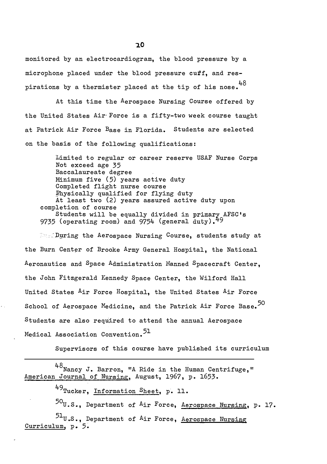monitored by an electrocardiogram, the blood pressure by a microphone placed under the blood pressure cuff, and respirations by a thermister placed at the tip of his nose.  $^{48}$ 

At this time the Aerospace Nursing Course offered by the United States Air Force is a fifty-two week course taught at Patrick Air Force Base in Florida. Students are selected on the basis of the following qualifications:

Limited to regular or career reserve USAF Nurse Corps Not exceed age 35 Baccalaureate degree Minimum five (5) years active duty Completed flight nurse course �hysically qualified for flying duty At least two (2) years assured active duty upon completion of course Students will be equally divided in primary AFSC's 9735 (operating room) and 9754 (general duty). $49$ 

 $\mathbb{R}$ . During the Aerospace Nursing Course, students study at the Burn Center of Brooke Army General Hospital, the National Aeronautics and Space Administration Manned Spacecraft Center, the John Fitzgerald Kennedy Space Center, the Wilford Hall United States Air Force Hospital, the United States Air Force School of Aerospace Medicine, and the Patrick Air Force Base.<sup>50</sup> Students are also required to attend the annual Aerospace Medical Association Convention. 51

Supervisors of this course have published its curriculum

 $48$ Nancy J. Barron, "A Ride in the Human Centrifuge," American Journal of Nursing, August, 1967, p. 1653.

49 Tucker, Information Sheet, p. 11.

 $^{50}$ U.S., Department of <sup>A</sup>ir Force, Aerospace Nursing, p. 17.  $51<sub>U.S.</sub>$ , Department of Air Force, Aerospace Nursing Curriculum, p. 5.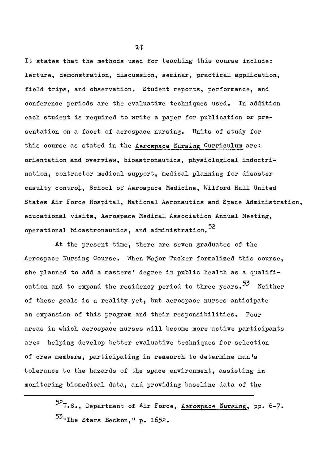It states that the methods used for teaching this course include : lecture, demonstration, discussion, seminar, practical application, field trips, and observation. Student reports, performance, and conference periods are the evaluative techniques used. In addition each student is required to write a paper for publication or presentation on a facet of aerospace nursing. Units of study for this course as stated in the Aerospace Nursing Curriculum are: orientation and overview, bioastronautics, physiological indoctrination, contractor medical support, medical planning for disaster casulty control, School of Aerospace Medicine, Wilford Hall United States Air Force Hospital, National Aeronautics and Space Administration, educational visits, Aerospace Medical Association Annual Neeting, operational bioastronautics, and administration.<sup>52</sup>

At the present time, there are seven graduates of the Aerospace Nursing Course. When Major Tucker formalized this course, she planned to add a masters' degree in public health as a qualification and to expand the residency period to three years.<sup>53</sup> Neither of these goals is a reality yet, but aerospace nurses anticipate an expansion of this program and their responsibilities. Four areas in which aerospace nurses will become more active participants are: helping develop better evaluative techniques for selection of crew members, participating in research to determine man's tolerance to the hazards of the space environment, assisting in monitoring biomedical data, and providing baseline data of the

> 52U• S., Department of Air Force, Aerospace Nursing, pp. 6-7 . 53<sub>11The</sub> Stars Beckon," p. 1652.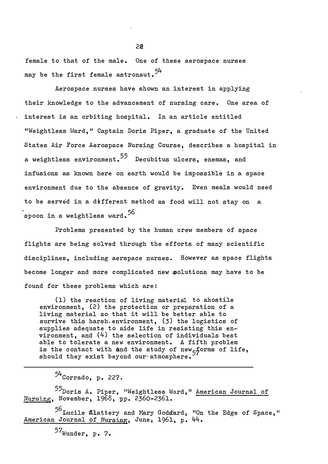female to that of the male. One of these aerospace nurses may be the first female astronaut.  $5^{\text{4}}$ 

Aerospace nurses have shown an interest in applying their knowledge to the advancement of nursing care. One area of interest is an orbiting hospital. In an article entitled "Weightless Ward," Captain Doris Piper, a graduate of the United States Air Force Aerospace Nursing Course, describes a hospital in a weightless environment.<sup>55</sup> Decubitus ulcers, enemas, and infusions as known here on earth would be impossible in a space environment due to the absence of gravity. Even meals would need to be served in a different method as food will not stay on a spoon in a weightless ward. $^{56}$ 

Problems presented by the human crew members of space flights are being solved through the efforts of many scientific disciplines, including aerspace nurses. However as space flights become longer and more complicated new polutions may have to be found for these problems which are:

(1) the reaction of living material to ahostile environment, (2) the protection or preparation of a living material so that it will be better able to survive this harsh environment,  $(3)$  the logistics of supplies adequate to aide life in resisting this environment, and (4) the selection of individuals best able to tolerate a new environment. A fifth problem is the contact with and the study of new<sub>5</sub>forms of life,<br>should they exist beyond our atmosphere. should they exist beyond our atmosphere.

55Doris A. Piper, "Weightless Ward," American Journal of Nursing, November, 1968, pp. 2360-2361.

<sup>56</sup> Lucile Llattery and Mary Goddard, "On the Edge of Space," American Journal of Nursing, June, 1961, p. 44.

 $57$ Wunder, p. 7.

 $54$ Corrado, p. 227.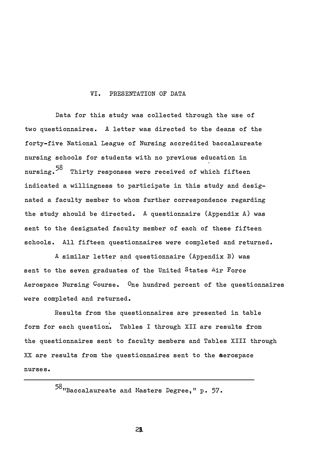## VI. PRESENTATION OF DATA

Data for this study was collected through the use of two qUestionnaires. A letter was directed to the deans of the forty-five National League of Nursing accredited baccalaureate nursing schools for students with no previous education in nursing.<sup>58</sup> Thirty responses were received of which fifteen indicated a willingness to participate in this study and designated a faculty member to whom further correspondence regarding the study should be directed. A questionnaire (Appendix A) was sent to the designated faculty member of each of these fifteen schools. All fifteen questionnaires were completed and returned.

A similar letter and questionnaire (Appendix B) was sent to the seven graduates of the United States Air Force Aerospace Nursing Course. One hundred percent of the questionnaires were completed and returned.

Results from the questionnaires are presented in table form for each question. Tables I through XII are results from the qUestionnaires sent to faculty members and Tables XIII through xx are results from the questionnaires sent to the aerospace nurses.

 $58$ "Baccalaureate and Masters Degree, " p. 57.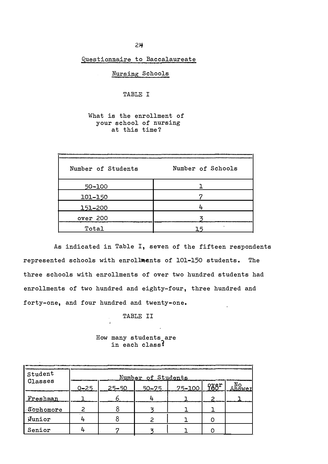Questionnaire to Baccalaureate

Nursing Schools

TABLE I

What is the enrollment of your school of nursing at this time?

| Number of Students | Number of Schools |
|--------------------|-------------------|
| 50-100             |                   |
| 101-150            |                   |
| 151-200            |                   |
| over 200           |                   |
| Total              |                   |

As indicated in Table I, seven of the fifteen respondents represented schools with enrollments of 101-150 students. The three schools with enrollments of over two hundred students had enrollments of two hundred and eighty-four, three hundred and forty-one, and four hundred and twenty-one.

TABLE II

How many students are in each classf

| Student   |          |       | Number of Students |            |      |                      |
|-----------|----------|-------|--------------------|------------|------|----------------------|
| Classes   | $0 - 25$ | 25-50 | $50 - 75$          | $75 - 100$ | fggr | <u>ANo</u><br>Answer |
| Freshman  |          |       |                    |            |      |                      |
| Sophomore |          |       |                    |            |      |                      |
| Junior    |          |       |                    |            |      |                      |
| Senior    |          |       |                    |            |      |                      |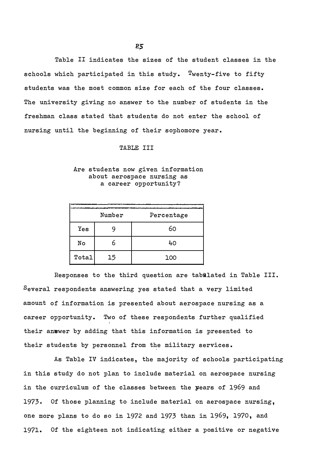Table II indicates the sizes of the student classes in the schools which participated in this study. Twenty-five to fifty students was the most common size for each of the four classes. The university giving no answer to the number of students in the freshman class stated that students do not enter the school of nursing until the beginning of their sophomore year.

#### TABLE III

# Are students now given information about aerospace nursing as a career opportunity?

|       | Number | Percentage |
|-------|--------|------------|
| Yes   |        | 60         |
| No    |        | 40         |
| Total | 15     | 100        |

Responses to the third question are tabulated in Table III. Several respondents answering yes stated that a very limited amount of information is presented about aerospace nursing as a career opportunity. Two of these respondents further qualified their anwwer by adding that this information is presented to their students by personnel from the military services.

As Table IV indicates, the majority of schools participating in this study do not plan to include material on aerospace nursing in the curriculum of the classes between the years of 1969 and 1973. Of those planning to include material on aerospace nursing, one more plans to do so in 1972 and 1973 than in 1969, 1970, and 1971. Of the eighteen not indicating either a positive or negative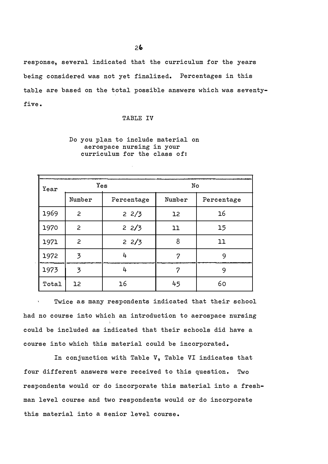response, several indicated that the curriculum for the years being considered was not yet finalized. Percentages in this table are based on the total possible answers which was seventyfive .

#### TABLE IV

# Do you plan to include material on aerospace nursing in your curriculum for the class of:

| Year  | Yes            |            | No     |            |  |  |  |  |
|-------|----------------|------------|--------|------------|--|--|--|--|
|       | Number         | Percentage | Number | Percentage |  |  |  |  |
| 1969  | 2              | 22/3       | 12     | 16         |  |  |  |  |
| 1970  | 2              | 22/3       | 11     | 15         |  |  |  |  |
| 1971  | 2              | 22/3       | 8      | 11         |  |  |  |  |
| 1972  | 3              | 4          | 7      | 9          |  |  |  |  |
| 1973  | $\overline{3}$ | 4          | ヮ      | 9          |  |  |  |  |
| Total | 12             | 16         | 45     | 60         |  |  |  |  |

.

Twice as many respondents indicated that their school had no course into which an introduction to aerospace nursing could be included as indicated that their schools did have a course into which this material could be incorporated.

In conjunction with Table V, Table VI indicates that four different answers were received to this question. Two respondents would or do incorporate this material into a freshman level course and two respondents would or do incorporate this material into a senior level course.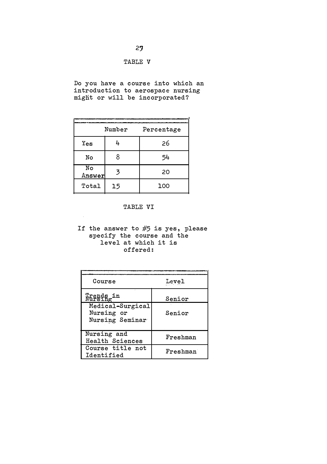# TABLE V

Do you have a course into which an introduction to aerospace nursing might or will be incorporated?

|              | Number | Percentage |
|--------------|--------|------------|
|              |        |            |
| $Y_{es}$     | 4      | 26         |
| No           | 8      | 54         |
| No<br>Answer | 3      | 20         |
| Total        | 15     | 100        |

# TABLE VI

If the answer to  $#5$  is yes, please specify the course and the level at which it is offered:

| Course                                            | Level    |
|---------------------------------------------------|----------|
| Trends in                                         | Senior   |
| Medical-Surgical<br>Nursing or<br>Nursing Seminar | Senior   |
| Nursing and<br>Health Sciences                    | Freshman |
| Course title not<br>Identified                    | Freshman |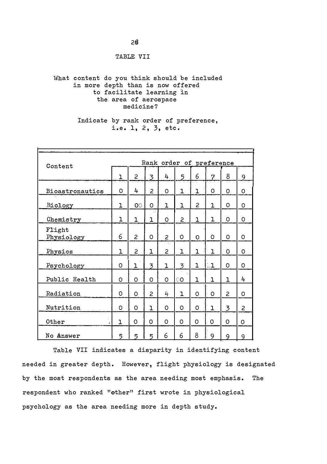TABLE VII

# What content do you think should be included in more depth than is now offered to facilitate learning in the area of aerospace medicine?

# Indicate by rank order of preference, i.e. 1, 2, 3, etc.

|                      | Rank order of preference<br>Content |              |              |              |              |              |                |                |          |
|----------------------|-------------------------------------|--------------|--------------|--------------|--------------|--------------|----------------|----------------|----------|
|                      | ı                                   | 2            | 3            | 4            | 5            | 6            | 7              | 8              | 9        |
| Bioastronautics      | O                                   | 4            | 2            | O            | ı            | ı            | O              | O.             | O        |
| Biology              | ı                                   | $\bullet$    | O            | ı            | ı            | $\mathsf{S}$ | $\mathbf{1}$   | O              | 0        |
| Chemistry            | ı                                   | ı            | ı            | O            | $\mathsf{S}$ | ı            | $\overline{1}$ | O              | O        |
| Flight<br>Physiology | 6                                   | $\mathsf{S}$ | O            | 2            | O            | $\circ$      | 0              | O              | O        |
| Physics              | ı                                   | 2            | ı            | 2            | ı            | ı            | ı              | O              | O        |
| Psychology           | O                                   | ı            | 3            | $\mathbf{1}$ | 3            | ı            | $\Box$         | O              | O        |
| Public Health        | O                                   | 0            | 0            | $\Omega$     | 00           | ı            | ı              | $\mathbf{1}$   | 4        |
| Radiation            | O                                   | 0            | $\mathsf{S}$ | 4            | ı            | 0            | O              | 2              | O        |
| Nutrition            | O                                   | 0            | ı            | O            | O            | 0            | $\mathbf{1}$   | $\overline{3}$ | 2        |
| Other                | $\mathbf{1}$                        | O            | O            | O            | $\Omega$     | O            | O              | O              | $\Omega$ |
| No Answer            | 5                                   | 5            | 5            | 6            | 6            | 8            | 9              | 9              | 9        |

Table VII indicates a disparity in identifying content needed in greater depth. However, flight physiology is designated by the most respondents as the area needing most emphasis. The respondent who ranked "other" first wrote in physiological psychology as the area needing more in depth study.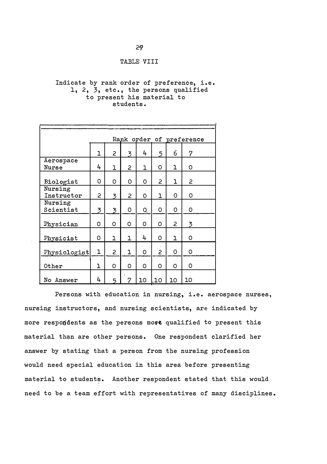# TABLE VIII

# Indicate by rank order of preference, i.e. 1, 2, 3, etc., the persons qualified to present his material to students.

|                       |   |   |   |    |     |    | Rank order of preference |
|-----------------------|---|---|---|----|-----|----|--------------------------|
|                       | ı | 2 | 3 | 4  | 5   | 6  | 7                        |
| Aerospace<br>Nurse    | 4 | ı | 2 | ı  | 0   | ı  | 0                        |
| Biologist             | 0 | 0 | 0 | O  | 2   | ı  | 2                        |
| Nursing<br>Instructor | 2 | 3 | 2 | O  | ı   | O  | 0                        |
| Nursing<br>Scientist  | 3 | 3 | O | Q  | O   | O  | 0                        |
| Physician             | 0 | O | O | 0  | O   | 2  | 3                        |
| Physicist             | 0 | ı | ı | 4  | O   | ı  | O                        |
| Physiologist          | ı | 2 | ı | o  | 2   | 0  | 0                        |
| Other                 | ı | 0 | 0 | 0  | O   | O  | 0                        |
| No Answer             | 4 | 5 | 7 | 10 | ,10 | 10 | 10                       |

Persons with education in nursing, i.e. aerospace nurses, nursing instructors, and nursing scientists, are indicated by more respondents as the persons more qualified to present this material than are other persons. One respondent clarified her answer by stating that a person from the nursing profession would need special education in this area before presenting material to students. Another respondent stated that this would need to be a team effort with representatives of many disciplines.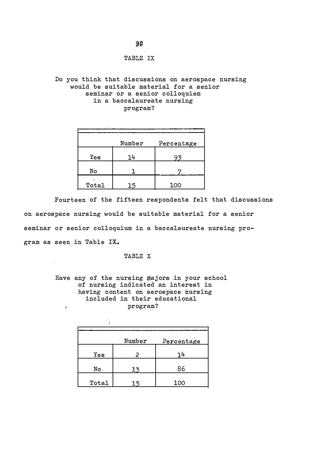TABLE IX

Do you think that discussions on aerospace nursing would be suitable material for a senior seminar or a senior colloquiem in a baccalaureate nursing program?

|       | Number | Percentage |
|-------|--------|------------|
| Yes   | 14     | ィス         |
| No    |        |            |
| Total |        | 100        |

Fourteen of the fifteen respondents felt that discussions on aerospace nursing would be suitable material for a senior seminar or senior colloquium in a baccalaureate nursing program as seen in Table IX.

TABLE X

Have any of the nursing majors in your school of nursing indicated an interest in having content on aerospace nursing included in their educational program?  $\epsilon$ 

| à     |        |            |
|-------|--------|------------|
|       | Number | Percentage |
| Yes   | 2      | 14         |
| No    | 13     | 86         |
| Total | 15     | 100        |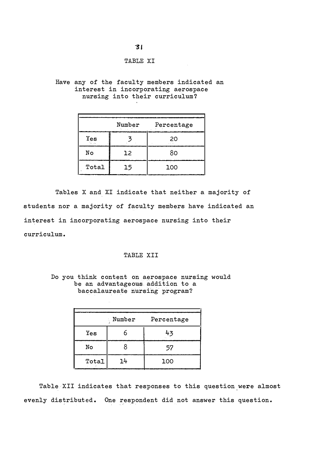# TABLE XI

# Have any of the faculty members indicated an interest in incorporating aerospace nursing into their curriculum?

|                 | Number | Percentage |
|-----------------|--------|------------|
| Yes<br>lan siya | o.     | 20         |
| No              | 12     | 80         |
| Total           | 15     | 100        |

Tables X and XI indicate that neither a majority of students nor a majority of faculty members have indicated an interest in incorporating aerospace nursing into their curriculum.

# TABLE XII

# Do you think content on aerospace nursing would be an advantageous addition to a baccalaureate nursing program?

| Number |    | Percentage |
|--------|----|------------|
| Yes    |    | 43         |
| No     |    | 57         |
| Total  | 14 | 100        |

Table XII indicates that responses to this question were almost evenly distributed. One respondent did not answer this question.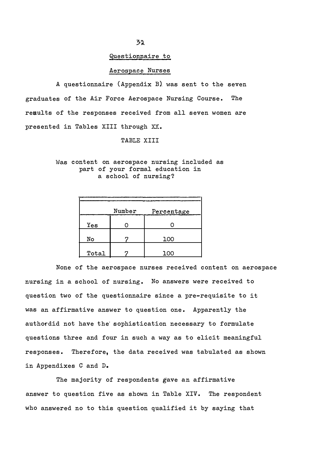## Questionnaire to

#### Aerospace Nurses

A questionnaire (Appendix B) was sent to the seven graduates of the Air Force Aerospace Nursing Course. The results of the responses received from all seven women are presented in Tables XIII through XX.

#### TABLE XIII

# Was content on aerospace nursing included as part of your formal education in a school of nursing?

|       | Number | Percentage |
|-------|--------|------------|
| Yes   |        |            |
| No    |        | 100        |
| Total |        | 100        |

None of the aerospace nurses received content on aerospace nursing in a school of nursing. No answers were received to question two of the questionnaire since a pre-requisite to it was an affirmative answer to question one. Apparently the author did not have the' sophistication necessary to formulate questions three and four in such a way as to elicit meaningful responses. Therefore, the data received was tabulated as shown in Appendixes C and D.

The majority of respondents gave an affirmative answer to question five as shown in Table XIV. The respondent who answered no to this question qualified it by saying that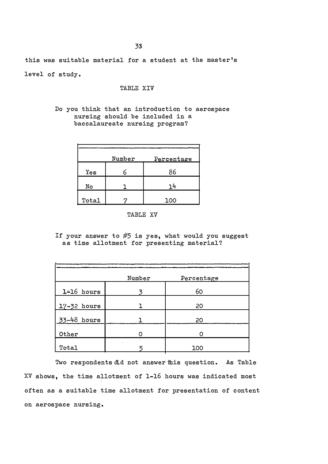this was suitable material for a student at the master 's level of study.

# TABLE XIV

# Do you think that an introduction to aerospace nursing should be included in a baccalaureate nursing program?

|       | Number | Percentage |
|-------|--------|------------|
| Yes   |        | 86         |
| No    |        | 14         |
| Total |        | 100        |

#### TABLE XV

If your answer to  $#5$  is yes, what would you suggest as time allotment for presenting material?

|                         | Number | Percentage |
|-------------------------|--------|------------|
| 1-16 hours              |        | 60         |
| 17-32 hours             |        | 20         |
| 33-48 hours             |        | 20         |
| and the season<br>Other |        |            |
| Total                   |        | 100        |

Two respondents did not answer this question. As Table XV shows, the time allotment of 1-16 hours was indicated most often as a suitable time allotment for presentation of content on aerospace nursing.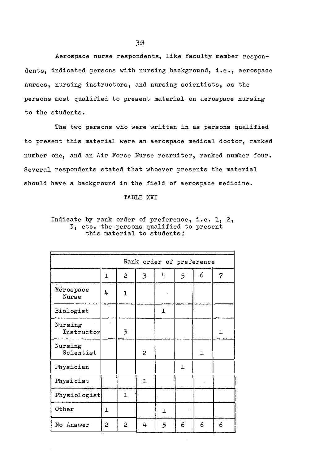Aerospace nurse respondents, like faculty member respondents, indicated persons with nursing background, i.e., aerospace nurses, nursing instructors, and nursing scientists, as the persons most qualified to present material on aerospace nursing to the students.

The two persons who were written in as persons qualified to present this material were an aerospace medical doctor, ranked number one, and an Air Force Nurse recruiter, ranked number four. Several respondents stated that whoever presents the material should have a background in the field of aerospace medicine.

TABLE XVI

Indicate by rank order of preference, i.e. 1, 2, 3, etc. the persons qualified to present this material to students:

|                       | Rank order of preference |                |                          |   |   |   |                |  |
|-----------------------|--------------------------|----------------|--------------------------|---|---|---|----------------|--|
|                       | ı                        | $\overline{c}$ | $\overline{\mathcal{Z}}$ | 4 | 5 | 6 | $\overline{7}$ |  |
| Aerospace<br>Nurse    | 4                        | ı              |                          |   |   |   |                |  |
| Biologist             |                          |                |                          | ı |   |   |                |  |
| Nursing<br>Instructor | $\lambda$                | 3              |                          |   |   |   | ı              |  |
| Nursing<br>Scientist  |                          |                | 2                        |   |   | ı |                |  |
| Physician             |                          |                |                          |   | ı |   |                |  |
| Physicist             |                          |                | ı                        |   |   |   |                |  |
| Physiologist          |                          | ı              |                          |   |   |   |                |  |
| Other                 | ı                        |                |                          | ı |   |   |                |  |
| No Answer             | 2                        | 2              | 4                        | 5 | 6 | 6 | 6              |  |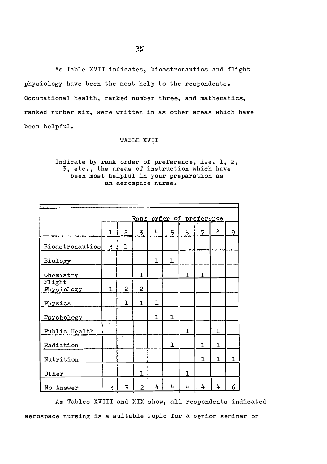As Table XVII indicates, bioastronautics and flight physiology have been the most help to the respondents. Occupational health, ranked number three, and mathematics, ranked number six, were written in as other areas which have been helpful.

#### TABLE XVII

# Indicate by rank order of preference, i.e. 1, 2, 3, etc., the areas of instruction which have been most helpful in your preparation as an aerospace nurse.

| Rank order of preference |                |                |                |              |   |              |   |   |   |
|--------------------------|----------------|----------------|----------------|--------------|---|--------------|---|---|---|
|                          | ı              | 2              | 3              | 4            | 5 | 6            | 7 | 8 | Q |
| Bioastronautics          | 3              | ı              |                |              |   |              |   |   |   |
| Biology                  |                |                |                | ı            | ı |              |   |   |   |
| Chemistry                |                |                | ı              |              |   | $\mathbf{1}$ | ٦ |   |   |
| Flight<br>Physiology     | $\overline{1}$ | $\overline{c}$ | 2              |              |   |              |   |   |   |
| Physics                  |                | $\overline{1}$ | ı              | $\mathbf{1}$ |   |              |   |   |   |
| Psychology               |                |                |                | ı            | ı |              |   |   |   |
| Public Health            | å.             |                |                |              |   | ı            |   | ı |   |
| Radiation                |                |                |                |              | ı |              | ı | ı |   |
| Nutrition                |                |                |                |              |   |              | ı | ı | ٦ |
| Other                    |                |                | $\overline{1}$ |              |   | $\mathbf{1}$ |   |   |   |
| No Answer                | 3              | 3              | 2              | 4            | 4 | 4            | 4 | 4 | 6 |

As Tables XVIII and XIX show, all respondents indicated aerospace nursing is a suitable t opic for a senior seminar or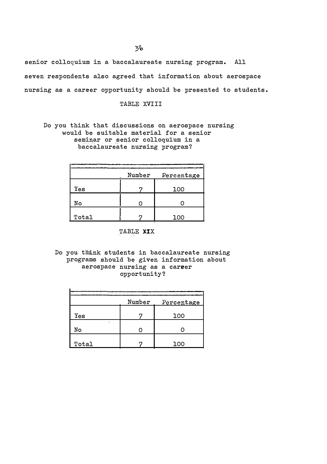senior colloquium in a baccalaureate nursing program. All seven respondents also agreed that information about aerospace nursing as a career opportunity should be presented to students.

TABLE XVIII

Do you think that discussions on aerospace nursing would be suitable material for a senior seminar or senior colloquium in a baccalaureate nursing program?

|       | Number | Percentage |
|-------|--------|------------|
|       |        |            |
| Yes   |        | 100        |
|       |        |            |
| No    |        |            |
|       |        |            |
| Total |        | 100        |

TABLE XIX

Do you think students in baccalaureate nursing programs should be given information about aerospace nursing as a career opportunity?

|         | Number | Percentage |
|---------|--------|------------|
| Yes     |        | 100        |
| ż<br>No |        |            |
| Total   |        | 100        |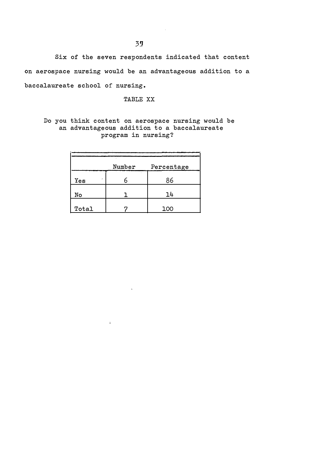Six of the seven respondents indicated that content On aerospace nursing would be an advantageous addition to a baccalaureate school of nursing.

TABLE XX

Do you think content on aerospace nursing would be an advantageous addition to a baccalaureate program in nursing?

|       | Number | Percentage |
|-------|--------|------------|
| Yes   | n      | 86         |
| No    |        | 14         |
| Total |        | 100        |

 $\ddot{\phantom{0}}$ 

 $\Delta$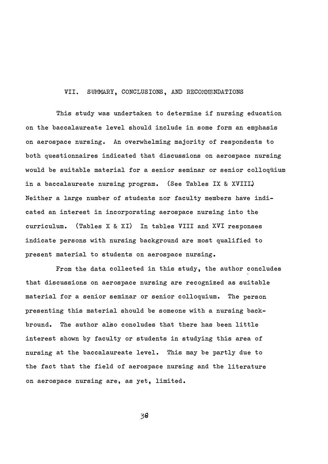## VII. SUMMARY, CONCLUSIONS, AND RECOMMENDATIONS

This study was undertaken to determine if nursing education on the baccalaureate level should include in some form an emphasis on aerospace nursing. An overwhelming majority of respondents to both questionnaires indicated that discussions on aerospace nursing would be suitable material for a senior seminar or senior colloquium in a baccalaureate nursing program. (See Tables IX & XVIII) Neither a large number of students nor faculty members have indicated an interest in incorporating aerospace nursing into the curriculum. (Tables X & XI) In tables VIII and XVI responses indicate persons with nursing background are most qualified to present material to students on aerospace nursing.

From the data collected in this study, the author concludes that discussions on aerospace nursing are recognized as suitable material for a senior seminar or senior colloquium. The person presenting this material should be someone with a nursing backbround. The author also concludes that there has been little interest shown by faculty or students in studying this area of nursing at the baccalaureate level. This may be partly due to the fact that the field of aerospace nursing and the literature on aerospace nursing are, as yet, limited.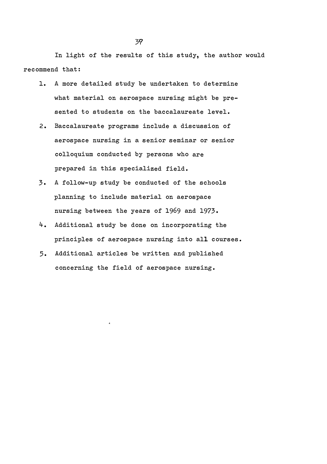In light of the results of this study, the author would recommend that:

- 1. A more detailed study be undertaken to determine what material on aerospace nursing might be presented to students on the baccalaureate level.
- 2. Baccalaureate programs include a discussion of aerospace nursing in a senior seminar or senior colloquium conducted by persons who are prepared in this specialized field.
- 3. A follow-up study be conducted of the schools planning to include material on aerospace nursing between the years of 1969 and 1973 .
- 4. Additional study be done on incorporating the principles of aerospace nursing into all courses.
- 5. Additional articles be written and published concerning the field of aerospace nursing.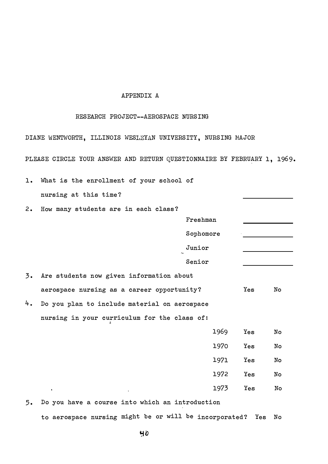# APPENDIX A

# RESEARCH PROJECT--AEROSPACE NURSING

DIANE WENTWORTH, ILLINOIS WESLEYAN UNIVERSITY, NURSING MAJOR

PLEASE CIRCLE YOUR ANSWER AND RETURN QUESTIONNAIRE BY FEBRUARY 1, 1969.

| 1. | What is the enrollment of your school of     |           |     |    |
|----|----------------------------------------------|-----------|-----|----|
|    | nursing at this time?                        |           |     |    |
| 2. | How many students are in each class?         |           |     |    |
|    |                                              | Freshman  |     |    |
|    |                                              | Sophomore |     |    |
|    |                                              | Junior    |     |    |
|    |                                              | Senior    |     |    |
| 3. | Are students now given information about     |           |     |    |
|    | aerospace nursing as a career opportunity?   |           | Yes | No |
| 4. | Do you plan to include material on aerospace |           |     |    |
|    | nursing in your curriculum for the class of: |           |     |    |
|    |                                              | 1969      | Yes | No |
|    |                                              | 1970      | Yes | No |
|    |                                              | 1971      | Yes | No |
|    |                                              | 1972      | Yes | No |
|    |                                              | 1973      | Yes | No |
|    |                                              |           |     |    |

5. Do you have a course into which an introduction to aerospace nursing might be or will be incorporated? Yes No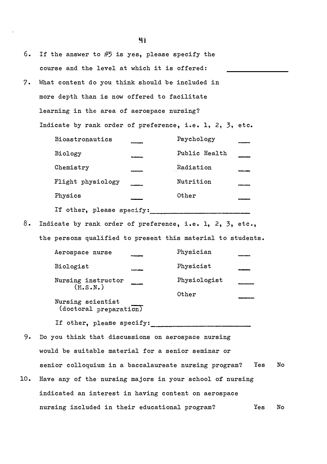| 6.  | If the answer to $#5$ is yes, please specify the            |               |     |    |
|-----|-------------------------------------------------------------|---------------|-----|----|
|     | course and the level at which it is offered:                |               |     |    |
| 7.  | What content do you think should be included in             |               |     |    |
|     | more depth than is now offered to facilitate                |               |     |    |
|     | learning in the area of aerospace nursing?                  |               |     |    |
|     | Indicate by rank order of preference, i.e. 1, 2, 3, etc.    |               |     |    |
|     | Bioastronautics                                             | Psychology    |     |    |
|     | Biology                                                     | Public Health |     |    |
|     | Chemistry                                                   | Radiation     |     |    |
|     | Flight physiology                                           | Nutrition     |     |    |
|     | Physics                                                     | Other         |     |    |
|     | If other, please specify:                                   |               |     |    |
| 8.  | Indicate by rank order of preference, i.e. 1, 2, 3, etc.,   |               |     |    |
|     | the persons qualified to present this material to students. |               |     |    |
|     | Aerospace nurse                                             | Physician     |     |    |
|     | Biologist                                                   | Physicist     |     |    |
|     | Nursing instructor                                          | Physiologist  |     |    |
|     | (M.S.N.)                                                    | Other         |     |    |
|     | Nursing scientist<br>(doctoral preparation)                 |               |     |    |
|     | If other, please specify:                                   |               |     |    |
| 9.  | Do you think that discussions on aerospace nursing          |               |     |    |
|     | would be suitable material for a senior seminar or          |               |     |    |
|     | senior colloquium in a baccalaureate nursing program?       |               | Yes | No |
| 10. | Have any of the nursing majors in your school of nursing    |               |     |    |
|     | indicated an interest in having content on aerospace        |               |     |    |
|     | nursing included in their educational program?              |               | Yes | No |

91

 $\bar{\boldsymbol{\epsilon}}$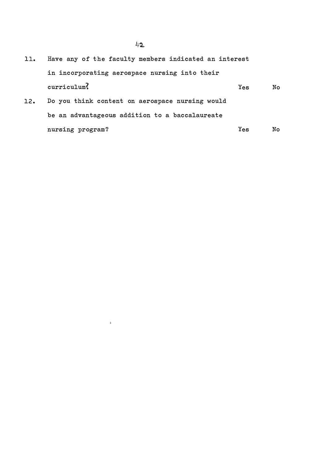- ll. Have any of the faculty members indicated an interest in incorporating aerospace nursing into their curriculum? l2. Do you think content on aerospace nursing would Yes No
- be an advantageous addition to a baccalaureate nursing program? Yes No

 $\hat{\mathbf{z}}$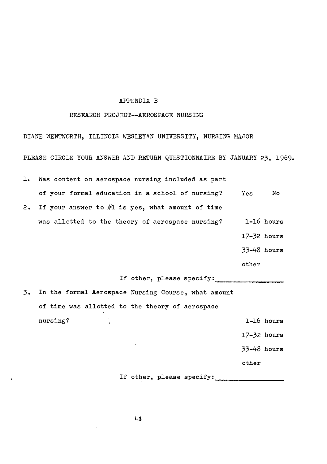## APPENDIX B

## RESEARCH PROJECT--AEROSPACE NURSING

DIANE WENTWORTH, ILLINOIS WESLEYAN UNIVERSITY, NURSING MAJOR PLEASE CIRCLE YOUR ANSWER AND RETURN QUESTIONNAIRE BY JANUARY 23, 1969.

l. Was content on aerospace nursing included as part

of your formal education in a school of nursing? 2. If your answer to  $#1$  is yes, what amount of time was allotted to the theory of aerospace nursing? Yes No l-l6 hours

l7-32 hours

33-48 hours

other

If other, please specify:

3. In the formal Aerospace Nursing Course , what amount of time was allotted to the theory of aerospace nursing? 1-16 hours l7-32 hours 33-48 hours

other

If other, please specify: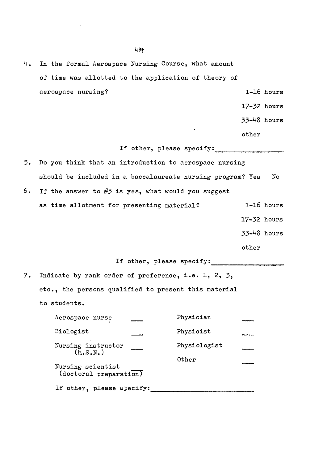| 4. In the formal Aerospace Nursing Course, what amount |  |                 |  |
|--------------------------------------------------------|--|-----------------|--|
| of time was allotted to the application of theory of   |  |                 |  |
| aerospace nursing?                                     |  | 1-16 hours      |  |
|                                                        |  | $17 - 32$ hours |  |

33-48 hours

other

If other, please specify:

- 5. Do you think that an introduction to aerospace nursing should be included in a baccalaureate nursing program? Yes No
- 6. If the answer to  $#5$  is yes, what would you suggest as time allotment for presenting material? l-16 hours 17-32 hours

33-48 hours

other

If other, please specify : \_\_\_\_\_\_\_\_\_\_\_\_\_\_\_\_ \_\_\_

7. Indicate by rank order of preference, i.e. l, 2, 3, etc., the persons qualified to present this material to students.

| Aerospace nurse                            | Physician    |  |
|--------------------------------------------|--------------|--|
| Biologist                                  | Physicist    |  |
| Nursing instructor<br>(M.S.N.)             | Physiologist |  |
| Nursing scientist<br>(dotoral preparation) | Other        |  |
| If other, please specify:                  |              |  |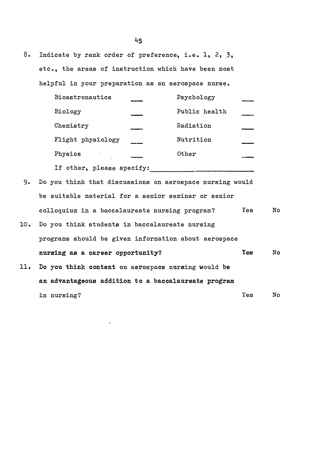8. Indicate by rank order of preference, i.e. 1, 2, 3, etc., the areas of instruction which have been most helpful in your preparation as an aerospace nurse.

| <b>Bioastronautics</b>    | Psychology    |  |
|---------------------------|---------------|--|
| Biology                   | Public health |  |
| Chemistry                 | Radiation     |  |
| Flight physiology         | Nutrition     |  |
| Physics                   | Other         |  |
| If other, please specify: |               |  |

9. Do you think that discussions on aerospace nursing would be suitable material for a senior seminar or senior colloquium in a baccalaureate nursing program? Yes No

- 10 . Do you think students in baccalaureate nursing programs should be given information about aerospace nursing as a career opportunity? Yes No
- 11 . Do you think content on aerospace nursing would be an advantageous addition to a baccalaureate program in nursing? Yes No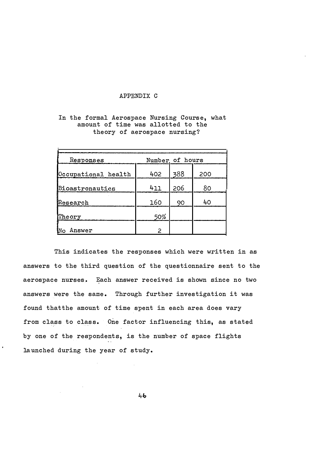## APPENDIX C

# In the formal Aerospace Nursing Course, what amount of time was allotted to the theory of aerospace nursing?

| Responses           | Number of hours |     |     |
|---------------------|-----------------|-----|-----|
| Occupational health | 402             | 388 | 200 |
| Bioastronautics     | 411             | 206 | 80  |
| $\mathbb R$ esearch | 160             | 90  | 40  |
| Theory              | 50%             |     |     |
| Answer              | 2               |     |     |

This indicates the responses which were written in as answers to the third question of the questionnaire sent to the aerospace nurses. Each answer received is shown since no two answers were the same. Through further investigation it was found thatthe amount of time spent in each area does vary from class to class. One factor influencing this, as stated by one of the respondents, is the number of space flights launched during the year of study.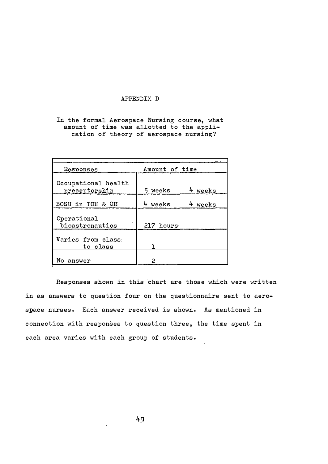# APPENDIX D

In the formal Aerospace Nursing course, what amount of time was allotted to the application of theory of aerospace nursing?

| Responses                            | Amount of time        |
|--------------------------------------|-----------------------|
| Occupational health<br>preceptorship | 5 weeks<br>weeks      |
| <b>BOSU in ICU &amp; OR</b>          | 4 weeks<br>weeks<br>4 |
| Operational<br>bioastronautics       | 217 hours             |
| Varies from class<br>to class        |                       |
| answer                               | 2                     |

Responses shown in this chart are those which were written in as answers to question four on the questionnaire sent to aerospace nurses. Each answer received is shown. As mentioned in connection with responses to question three, the time spent in each area varies with each group of students.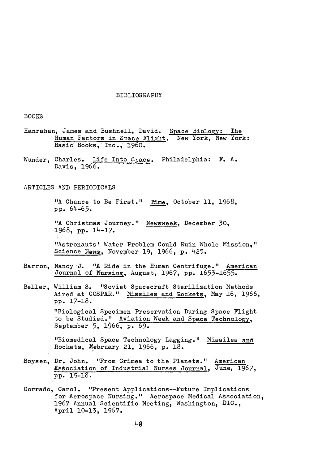#### BIBLIOGRAPHY

## BOOKS

- Hanrahan, James and Bushnell, David. Space Biology: The Human Factors in Space Flight. New York, New York: Basic Books, Inc., 1960.
- Wunder, Charles. Life Into Space. Philadelphia: F. A. Davis, 1966.

#### ARTICLES AND PERIODICALS

"A Chance to Be First." Time, October 11, 1968, pp. 64-65.

"A Christmas Journey." Newsweek, December 30, 1968, pp. l4-l7.

"Astronauts' Water Problem Could Ruin Whole Mission," Science News, November 19, 1966, p. 425.

- Barron, Nancy J. "A Ride in the Human Centrifuge." American Journal of Nursing, August, 1967, pp. l653-l655.
- Beller, William S. "Soviet Spacecraft Sterilization Methods Aired at COSPAR." Missiles and Rockets, May 16, 1966, pp . l7-l8 . "Biological Specimen Preservation During Space Flight to be Studied." Aviation Week and Space Technology, September 5, 1966, p. 69.

"Biomedical Space Technology Lagging." Missiles and Rockets, �ebruary 2l, 1966, p. l8 .

- Boysen, Dr. John. "From Crimea to the Planets." American Essociation of Industrial Nurses Journal, June, 1967, pp. 15-l8.
- Corrado, Carol. "Present Applications--Future Implications for Aerospace Nursing." Aerospace Nedical Association, 1967 Annual Scientific Meeting, Washington, D1C., April lO-l3, 1967.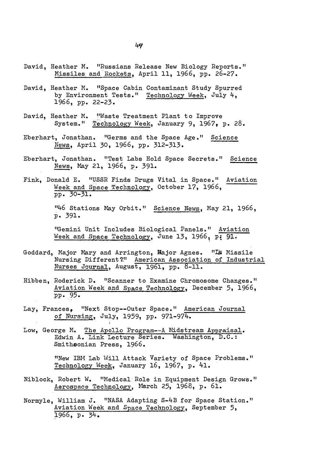- David, Heather M. "Russians Release New Biology Reports." Missiles and Rockets, April 11, 1966, pp. 26-27 .
- David, Heather M. "Space Cabin Contaminant Study Spurred by Environment Tests." Technology Week, July 4, 1966, pp. 22-23 .
- David, Heather M. "Waste Treatment Plant to Improve System." Technology Week, January 9, 1967, p. 28 .
- Eberhart, Jonathan. "Germs and the Space Age." Science News, April 30, 1966, pp. 312-313.
- Eberhart, Jonathan. "Test Labs Hold Space Secrets." Science News, May 21, 1966, p. 391.
- Fink, Donald E. "USSR Finds Drugs Vital in Space." Aviation Week and Space Technology, October 17, 1966, pp. 30-31.

"46 Stations May Orbit." Science News, May 21, 1966, p. 391 .

"Gemini Unit Includes Biological Panels." Aviation Week and Space Technology, June 13, 1966, p: 91.

- Goddard, Major Mary and Arrington, Hajor Agnes. "IS Missile Nursing Different?" American Association of Industrial Nurses Journal, August, 1961, pp. 8-11.
- Hibben, Roderick D. "Scanner to Examine Chromosome Changes." Aviation Week and Space Technology, December 5, 1966, pp. 95 .
- Lay, Frances, "Next Stop--Outer Space ." American Journal of Nursing, July, 1959, pp. 971-974.
- Low, George M. The Apollo Program--A Midstream Appraisal. Edwin A. Link Lecture Series. Washington, D.C.: Smithsonian Press, 1966 .

"New IBM Lab Will Attack Variety of Space Problems." Technology Week, January 16, 1967, p. 41.

- Niblock, Robert W. "Medical Role in Equipment Design Grows." Aerospace Technology, March 25, 1968, p. 61.
- Normyle, William J. "NASA Adapting S-4B for Space Station." Aviation Week and Space Technology, September 5, 1966, p. 34.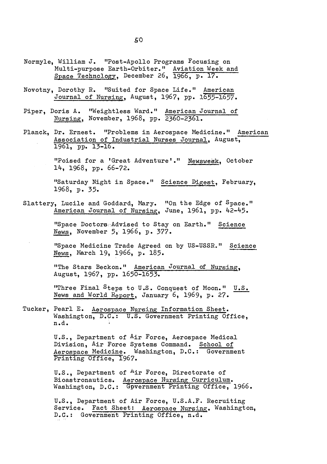- Normyle, William J. "Post-Apollo Programs Focusing on Multi-purpose Earth-Orbiter." Aviation Week and Space Technology, December 26, 1966, p. 17.
- Novotny, Dorothy R. "Suited for Space Life." American Journal of Nursing, August, 1967, pp. 1655-1657.
- Piper, Doris A. "Weightless Ward." American Journal of Nursing, November, 1968, pp. 2360-2361.
- Planck, Dr. Ernest. "Problems in Aerospace Medicine." American Association of Industrial Nurses Journal, August, 1961, pp. 13-16 .

"Poised for a 'Great Adventure'." Newsweek, October 14, 1968, pp. 66-72.

"Saturday Night in Space." Science Digest, February, 1968, p. 35.

Slattery, Lucile and Goddard, Mary. "On the Edge of Space." American Journal of Nursing, June, 1961, pp. 42-45.

> "Space Doctors Advised to Stay on Earth." Science News, November 5, 1966, p. 377 .

"Space Medicine Trade Agreed on by US-USSR." Science News, March 19, 1966, p. 185.

"The Stars Beckon." American Journal of Nursing, August, 1967 , pp. 1650-1653.

"Three Final Steps to U.S. Conquest of Moon." U.S. News and World Report, January 6, 1969, p. 27.

Tucker, Pearl E. Aerospace Nursing Information Sheet. Washington, D.C.: U.S. Government Printing Office, n.d.

> U.S., Department of Air Force, Aerospace Medical Division, Air Force Systems Command. School of Aerospace Medicine. Washington, D.C.: Government Printing Office, 1967.

U.S., Department of <sup>A</sup>ir Force, Directorate of Bioastronautics. Aerospace Nursing Curriculum. Washington, D.C.: Gpvernment Printing Office, 1966.

U.S., Department of Air Force, U.S.A.F. Recruiting Service. Fact Sheet: Aerospace Nursing. Washington, D.C. : Government Printing Office, n.d.